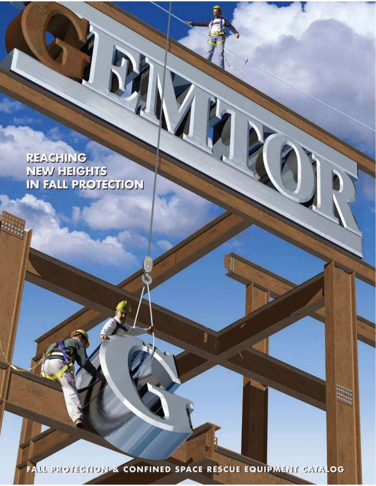REACHING **NEW HEIGHTS** IN FALL PROTECTION

FALL PROTECTION & CONFINED SPACE RESCUE EQUIPMENT CATALOG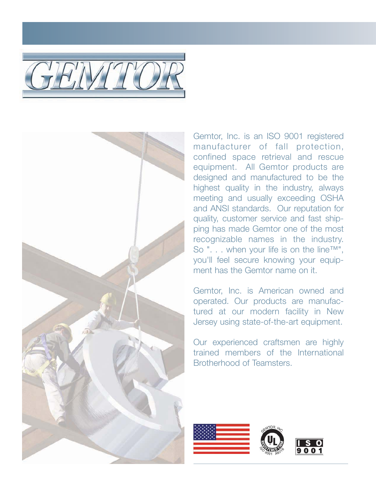



Gemtor, Inc. is an ISO 9001 registered manufacturer of fall protection, confined space retrieval and rescue equipment. All Gemtor products are designed and manufactured to be the highest quality in the industry, always meeting and usually exceeding OSHA and ANSI standards. Our reputation for quality, customer service and fast shipping has made Gemtor one of the most recognizable names in the industry. So ". . . when your life is on the line™", you'll feel secure knowing your equipment has the Gemtor name on it.

Gemtor, Inc. is American owned and operated. Our products are manufactured at our modern facility in New Jersey using state-of-the-art equipment.

Our experienced craftsmen are highly trained members of the International Brotherhood of Teamsters.

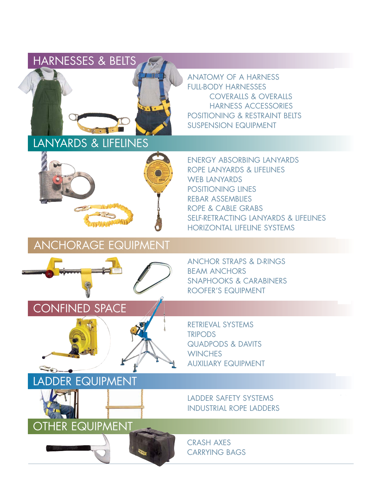

LANYARDS & LIFELINES



ANCHORAGE EQUIPMENT



LADDER EQUIPMENT

OTHER EQUIPMENT

ANATOMY OF A HARNESS 2 **FULL-BODY HARNESSES** COVERALLS & OVERALLS HARNESS ACCESSORIES 6 POSITIONING & RESTRAINT BEITS SUSPENSION EQUIPMENT

ENERGY ABSORBING LANYARDS ROPE LANYARDS & LIFELINES WEB LANYARDS POSITIONING LINES REBAR ASSEMBLIES ROPE & CABLE GRABS SELF-RETRACTING LANYARDS & LIFELINES HORIZONTAL LIFELINE SYSTEMS 16

ANCHOR STRAPS & D-RINGS **BEAM ANCHORS** SNAPHOOKS & CARABINERS ROOFER'S EQUIPMENT

RETRIEVAL SYSTEMS **TRIPODS** QUADPODS & DAVITS **WINCHES AUXILIARY EQUIPMENT** 

LADDER SAFETY SYSTEMS **INDUSTRIAL ROPE LADDERS** 

**CRASH AXES CARRYING BAGS**